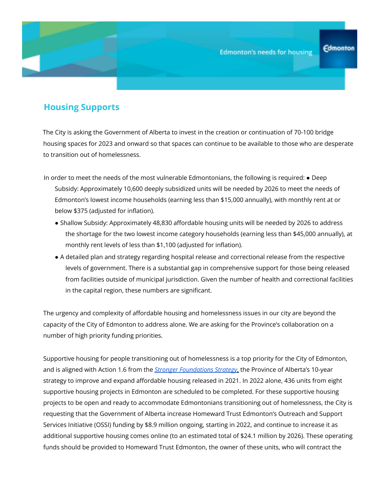## **Housing Supports**

The City is asking the Government of Alberta to invest in the creation or continuation of 70-100 bridge housing spaces for 2023 and onward so that spaces can continue to be available to those who are desperate to transition out of homelessness.

- In order to meet the needs of the most vulnerable Edmontonians, the following is required: Deep Subsidy: Approximately 10,600 deeply subsidized units will be needed by 2026 to meet the needs of Edmonton's lowest income households (earning less than \$15,000 annually), with monthly rent at or below \$375 (adjusted for inflation).
	- Shallow Subsidy: Approximately 48,830 affordable housing units will be needed by 2026 to address the shortage for the two lowest income category households (earning less than \$45,000 annually), at monthly rent levels of less than \$1,100 (adjusted for inflation).
	- A detailed plan and strategy regarding hospital release and correctional release from the respective levels of government. There is a substantial gap in comprehensive support for those being released from facilities outside of municipal jurisdiction. Given the number of health and correctional facilities in the capital region, these numbers are significant.

The urgency and complexity of affordable housing and homelessness issues in our city are beyond the capacity of the City of Edmonton to address alone. We are asking for the Province's collaboration on a number of high priority funding priorities.

Supportive housing for people transitioning out of homelessness is a top priority for the City of Edmonton, and is aligned with Action 1.6 from the *Stronger Foundations Strategy*, the Province of Alberta's 10-year strategy to improve and expand affordable housing released in 2021. In 2022 alone, 436 units from eight supportive housing projects in Edmonton are scheduled to be completed. For these supportive housing projects to be open and ready to accommodate Edmontonians transitioning out of homelessness, the City is requesting that the Government of Alberta increase Homeward Trust Edmonton's Outreach and Support Services Initiative (OSSI) funding by \$8.9 million ongoing, starting in 2022, and continue to increase it as additional supportive housing comes online (to an estimated total of \$24.1 million by 2026). These operating funds should be provided to Homeward Trust Edmonton, the owner of these units, who will contract the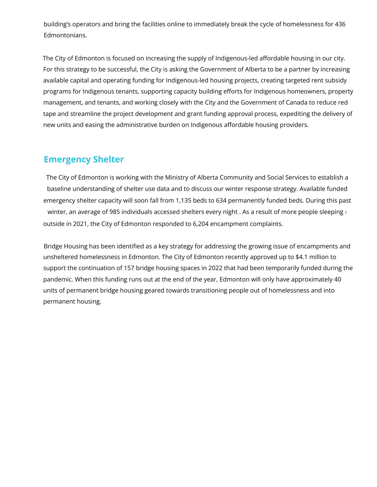building's operators and bring the facilities online to immediately break the cycle of homelessness for 436 Edmontonians.

The City of Edmonton is focused on increasing the supply of Indigenous-led affordable housing in our city. For this strategy to be successful, the City is asking the Government of Alberta to be a partner by increasing available capital and operating funding for Indigenous-led housing projects, creating targeted rent subsidy programs for Indigenous tenants, supporting capacity building efforts for Indigenous homeowners, property management, and tenants, and working closely with the City and the Government of Canada to reduce red tape and streamline the project development and grant funding approval process, expediting the delivery of new units and easing the administrative burden on Indigenous affordable housing providers.

## **Emergency Shelter**

The City of Edmonton is working with the Ministry of Alberta Community and Social Services to establish a baseline understanding of shelter use data and to discuss our winter response strategy. Available funded emergency shelter capacity will soon fall from 1,135 beds to 634 permanently funded beds. During this past winter, an average of 985 individuals accessed shelters every night . As a result of more people sleeping 1 outside in 2021, the City of Edmonton responded to 6,204 encampment complaints.

Bridge Housing has been identified as a key strategy for addressing the growing issue of encampments and unsheltered homelessness in Edmonton. The City of Edmonton recently approved up to \$4.1 million to support the continuation of 157 bridge housing spaces in 2022 that had been temporarily funded during the pandemic. When this funding runs out at the end of the year, Edmonton will only have approximately 40 units of permanent bridge housing geared towards transitioning people out of homelessness and into permanent housing.